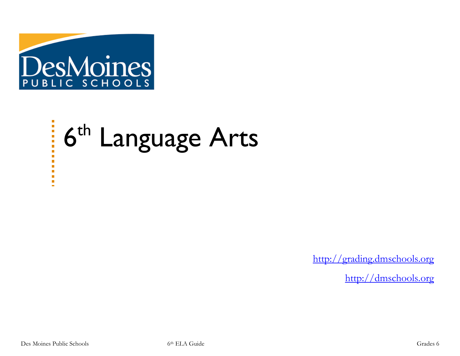

# 6<sup>th</sup> Language Arts

[http://grading.dmschools.org](http://grading.dmschools.org/)

[http://dmschools.org](http://dmschools.org/)

 $\frac{1}{2}$ 

Ē. o. o,  $\blacksquare$ ù.  $\blacksquare$  $\mathbf{r}$  $\blacksquare$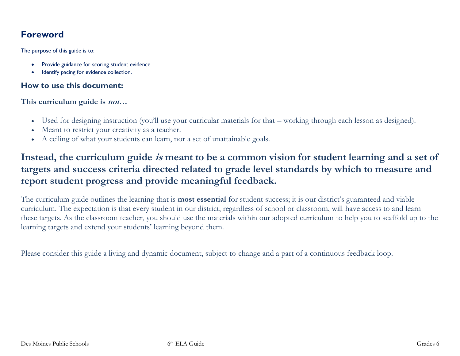## **Foreword**

The purpose of this guide is to:

- Provide guidance for scoring student evidence.
- Identify pacing for evidence collection.

#### **How to use this document:**

**This curriculum guide is not…**

- Used for designing instruction (you'll use your curricular materials for that working through each lesson as designed).
- Meant to restrict your creativity as a teacher.
- A ceiling of what your students can learn, nor a set of unattainable goals.

## **Instead, the curriculum guide is meant to be a common vision for student learning and a set of targets and success criteria directed related to grade level standards by which to measure and report student progress and provide meaningful feedback.**

The curriculum guide outlines the learning that is **most essential** for student success; it is our district's guaranteed and viable curriculum. The expectation is that every student in our district, regardless of school or classroom, will have access to and learn these targets. As the classroom teacher, you should use the materials within our adopted curriculum to help you to scaffold up to the learning targets and extend your students' learning beyond them.

Please consider this guide a living and dynamic document, subject to change and a part of a continuous feedback loop.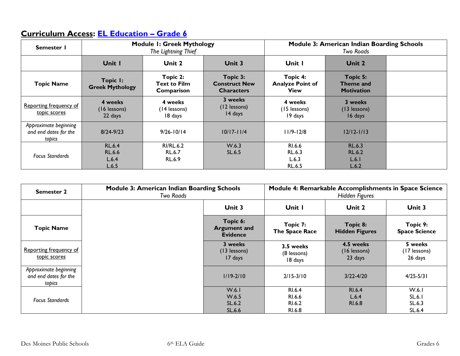# **Curriculum Access: [EL Education](https://curriculum.eleducation.org/curriculum/ela/2019/grade-6) – Grade 6**

| Semester I                                               | <b>Module I: Greek Mythology</b><br>The Lightning Thief |                                        | <b>Module 3: American Indian Boarding Schools</b><br>Two Roads |                                                    |                                                  |  |
|----------------------------------------------------------|---------------------------------------------------------|----------------------------------------|----------------------------------------------------------------|----------------------------------------------------|--------------------------------------------------|--|
|                                                          | Unit I                                                  | Unit 2                                 | <b>Unit 3</b>                                                  | Unit I                                             | Unit 2                                           |  |
| <b>Topic Name</b>                                        | Topic I:<br><b>Greek Mythology</b>                      | Topic 2:<br>Text to Film<br>Comparison | Topic 3:<br><b>Construct New</b><br><b>Characters</b>          | Topic 4:<br><b>Analyze Point of</b><br><b>View</b> | Topic 5:<br>Theme and<br><b>Motivation</b>       |  |
| Reporting frequency of<br>topic scores                   | 4 weeks<br>$(16$ lessons)<br>22 days                    | 4 weeks<br>(14 lessons)<br>18 days     | 3 weeks<br>(12 lessons)<br>14 days                             | 4 weeks<br>(15 lessons)<br>19 days                 | 3 weeks<br>(13 lessons)<br>16 days               |  |
| Approximate beginning<br>and end dates for the<br>topics | $8/24 - 9/23$                                           | $9/26 - 10/14$                         | $10/17 - 11/4$                                                 | $11/9 - 12/8$                                      | $12/12 - 1/13$                                   |  |
| <b>Focus Standards</b>                                   | <b>RL.6.4</b><br><b>RL.6.6</b><br>L.6.4<br>L.6.5        | <b>RI/RL.6.2</b><br>RL.6.7<br>RL.6.9   | W.6.3<br>SL.6.5                                                | RI.6.6<br>RL.6.3<br>L.6.3<br><b>RL.6.5</b>         | <b>RL.6.3</b><br><b>RL.6.2</b><br>L.6.1<br>L.6.2 |  |

| <b>Semester 2</b>                                        | <b>Module 3: American Indian Boarding Schools</b><br>Two Roads |                                                    | Module 4: Remarkable Accomplishments in Space Science<br>Hidden Figures |                                      |                                     |
|----------------------------------------------------------|----------------------------------------------------------------|----------------------------------------------------|-------------------------------------------------------------------------|--------------------------------------|-------------------------------------|
|                                                          |                                                                | Unit 3                                             | Unit I                                                                  | Unit 2                               | <b>Unit 3</b>                       |
| <b>Topic Name</b>                                        |                                                                | Topic 6:<br><b>Argument and</b><br><b>Evidence</b> | Topic 7:<br>The Space Race                                              | Topic 8:<br><b>Hidden Figures</b>    | Topic 9:<br><b>Space Science</b>    |
| Reporting frequency of<br>topic scores                   |                                                                | 3 weeks<br>(13 lessons)<br>17 days                 | 3.5 weeks<br>(8 lessons)<br>18 days                                     | 4.5 weeks<br>(16 lessons)<br>23 days | 5 weeks<br>(17 lessons)<br>26 days  |
| Approximate beginning<br>and end dates for the<br>topics |                                                                | $1/19 - 2/10$                                      | $2/15 - 3/10$                                                           | $3/22 - 4/20$                        | $4/25 - 5/31$                       |
| <b>Focus Standards</b>                                   |                                                                | W.6.1<br>W.6.5<br>SL.6.2<br>SL.6.6                 | RI.6.4<br>RI.6.6<br>RI.6.2<br>RI.6.8                                    | RI.6.4<br>L.6.4<br>RI.6.8            | W.6.1<br>SL.6.1<br>SL.6.3<br>SL.6.4 |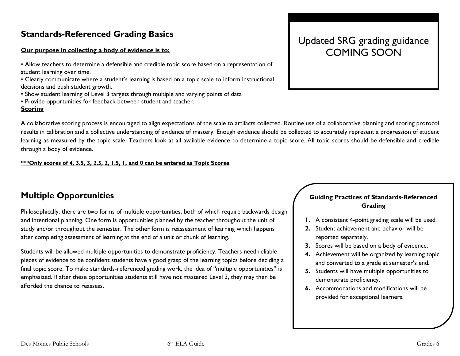## **Standards-Referenced Grading Basics**

#### **Our purpose in collecting a body of evidence is to:**

- Allow teachers to determine a defensible and credible topic score based on a representation of student learning over time.
- Clearly communicate where a student's learning is based on a topic scale to inform instructional decisions and push student growth.
- Show student learning of Level 3 targets through multiple and varying points of data
- Provide opportunities for feedback between student and teacher.

#### **Scoring**

Updated SRG grading guidance COMING SOON

A collaborative scoring process is encouraged to align expectations of the scale to artifacts collected. Routine use of a collaborative planning and scoring protocol results in calibration and a collective understanding of evidence of mastery. Enough evidence should be collected to accurately represent a progression of student learning as measured by the topic scale. Teachers look at all available evidence to determine a topic score. All topic scores should be defensible and credible through a body of evidence.

#### **\*\*\*Only scores of 4, 3.5, 3, 2.5, 2, 1.5, 1, and 0 can be entered as Topic Scores**.

## **Multiple Opportunities**

Philosophically, there are two forms of multiple opportunities, both of which require backwards design and intentional planning. One form is opportunities planned by the teacher throughout the unit of study and/or throughout the semester. The other form is reassessment of learning which happens after completing assessment of learning at the end of a unit or chunk of learning.

Students will be allowed multiple opportunities to demonstrate proficiency. Teachers need reliable pieces of evidence to be confident students have a good grasp of the learning topics before deciding a final topic score. To make standards-referenced grading work, the idea of "multiple opportunities" is emphasized. If after these opportunities students still have not mastered Level 3, they may then be afforded the chance to reassess.

#### **Guiding Practices of Standards-Referenced Grading**

- **1.** A consistent 4-point grading scale will be used.
- **2.** Student achievement and behavior will be reported separately.
- **3.** Scores will be based on a body of evidence.
- **4.** Achievement will be organized by learning topic and converted to a grade at semester's end.
- **5.** Students will have multiple opportunities to demonstrate proficiency.
- **6.** Accommodations and modifications will be provided for exceptional learners.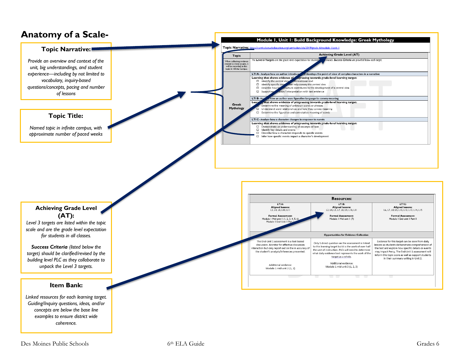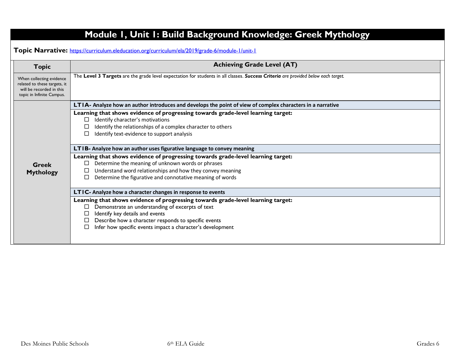| <b>Topic</b>                                                                                                      | <b>Achieving Grade Level (AT)</b>                                                                                                                                                                                                                                                                  |  |
|-------------------------------------------------------------------------------------------------------------------|----------------------------------------------------------------------------------------------------------------------------------------------------------------------------------------------------------------------------------------------------------------------------------------------------|--|
| When collecting evidence<br>related to these targets, it<br>will be recorded in this<br>topic in Infinite Campus. | The Level 3 Targets are the grade level expectation for students in all classes. Success Criteria are provided below each target.                                                                                                                                                                  |  |
|                                                                                                                   | LTIA- Analyze how an author introduces and develops the point of view of complex characters in a narrative                                                                                                                                                                                         |  |
|                                                                                                                   | Learning that shows evidence of progressing towards grade-level learning target:<br>Identify character's motivations<br>□<br>Identify the relationships of a complex character to others<br>Identify text-evidence to support analysis                                                             |  |
|                                                                                                                   | LTIB- Analyze how an author uses figurative language to convey meaning                                                                                                                                                                                                                             |  |
|                                                                                                                   | Learning that shows evidence of progressing towards grade-level learning target:                                                                                                                                                                                                                   |  |
| <b>Greek</b>                                                                                                      | Determine the meaning of unknown words or phrases<br>$\Box$                                                                                                                                                                                                                                        |  |
| <b>Mythology</b>                                                                                                  | Understand word relationships and how they convey meaning<br>⊔<br>Determine the figurative and connotative meaning of words                                                                                                                                                                        |  |
|                                                                                                                   | LTIC- Analyze how a character changes in response to events                                                                                                                                                                                                                                        |  |
|                                                                                                                   | Learning that shows evidence of progressing towards grade-level learning target:<br>Demonstrate an understanding of excerpts of text<br>Identify key details and events<br>□<br>Describe how a character responds to specific events<br>Infer how specific events impact a character's development |  |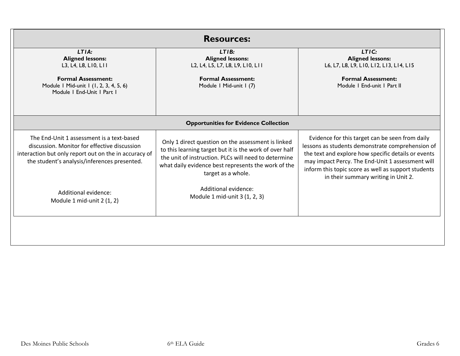|                                                                                                                                                                                                    | <b>Resources:</b>                                                                                                                                                                                                                                  |                                                                                                                                                                                                                                                                                                              |
|----------------------------------------------------------------------------------------------------------------------------------------------------------------------------------------------------|----------------------------------------------------------------------------------------------------------------------------------------------------------------------------------------------------------------------------------------------------|--------------------------------------------------------------------------------------------------------------------------------------------------------------------------------------------------------------------------------------------------------------------------------------------------------------|
| LTIA:<br><b>Aligned lessons:</b><br>L3, L4, L8, L10, L11                                                                                                                                           | LTIB:<br><b>Aligned lessons:</b><br>L2, L4, L5, L7, L8, L9, L10, L11                                                                                                                                                                               | LTIC:<br><b>Aligned lessons:</b><br>L6, L7, L8, L9, L10, L12, L13, L14, L15                                                                                                                                                                                                                                  |
| <b>Formal Assessment:</b><br>Module 1 Mid-unit 1 (1, 2, 3, 4, 5, 6)<br>Module   End-Unit   Part                                                                                                    | <b>Formal Assessment:</b><br>Module I Mid-unit I (7)                                                                                                                                                                                               | <b>Formal Assessment:</b><br>Module   End-unit   Part II                                                                                                                                                                                                                                                     |
|                                                                                                                                                                                                    | <b>Opportunities for Evidence Collection</b>                                                                                                                                                                                                       |                                                                                                                                                                                                                                                                                                              |
| The End-Unit 1 assessment is a text-based<br>discussion. Monitor for effective discussion<br>interaction but only report out on the in accuracy of<br>the student's analysis/inferences presented. | Only 1 direct question on the assessment is linked<br>to this learning target but it is the work of over half<br>the unit of instruction. PLCs will need to determine<br>what daily evidence best represents the work of the<br>target as a whole. | Evidence for this target can be seen from daily<br>lessons as students demonstrate comprehension of<br>the text and explore how specific details or events<br>may impact Percy. The End-Unit 1 assessment will<br>inform this topic score as well as support students<br>in their summary writing in Unit 2. |
| Additional evidence:<br>Module 1 mid-unit 2 (1, 2)                                                                                                                                                 | Additional evidence:<br>Module 1 mid-unit 3 (1, 2, 3)                                                                                                                                                                                              |                                                                                                                                                                                                                                                                                                              |
|                                                                                                                                                                                                    |                                                                                                                                                                                                                                                    |                                                                                                                                                                                                                                                                                                              |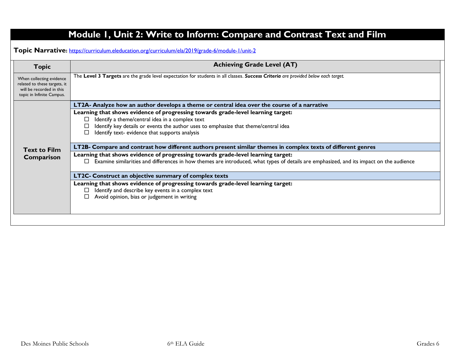| <b>Topic</b>                                                                                                      | <b>Achieving Grade Level (AT)</b>                                                                                                                                                                                                                                                      |  |
|-------------------------------------------------------------------------------------------------------------------|----------------------------------------------------------------------------------------------------------------------------------------------------------------------------------------------------------------------------------------------------------------------------------------|--|
| When collecting evidence<br>related to these targets, it<br>will be recorded in this<br>topic in Infinite Campus. | The Level 3 Targets are the grade level expectation for students in all classes. Success Criteria are provided below each target.                                                                                                                                                      |  |
|                                                                                                                   | LT2A- Analyze how an author develops a theme or central idea over the course of a narrative                                                                                                                                                                                            |  |
|                                                                                                                   | Learning that shows evidence of progressing towards grade-level learning target:<br>Identify a theme/central idea in a complex text<br>$\Box$<br>Identify key details or events the author uses to emphasize that theme/central idea<br>Identify text- evidence that supports analysis |  |
| <b>Text to Film</b>                                                                                               | LT2B- Compare and contrast how different authors present similar themes in complex texts of different genres                                                                                                                                                                           |  |
| Comparison                                                                                                        | Learning that shows evidence of progressing towards grade-level learning target:<br>Examine similarities and differences in how themes are introduced, what types of details are emphasized, and its impact on the audience<br>$\Box$                                                  |  |
|                                                                                                                   | LT2C- Construct an objective summary of complex texts                                                                                                                                                                                                                                  |  |
|                                                                                                                   | Learning that shows evidence of progressing towards grade-level learning target:<br>Identify and describe key events in a complex text<br>Avoid opinion, bias or judgement in writing                                                                                                  |  |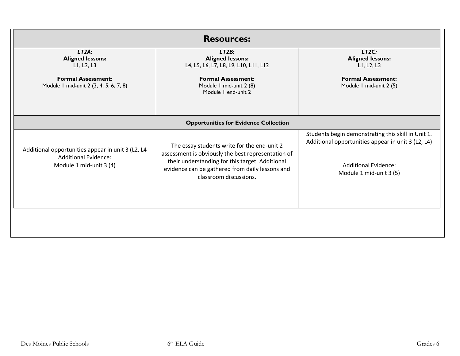|                                                                     | <b>Resources:</b>                                                                                                                                                                  |                                                                                                          |
|---------------------------------------------------------------------|------------------------------------------------------------------------------------------------------------------------------------------------------------------------------------|----------------------------------------------------------------------------------------------------------|
| LT2A:<br><b>Aligned lessons:</b><br>LI, L2, L3                      | LT2B:<br><b>Aligned lessons:</b><br>L4, L5, L6, L7, L8, L9, L10, L11, L12                                                                                                          | LT2C:<br><b>Aligned lessons:</b><br>LI, L2, L3                                                           |
| <b>Formal Assessment:</b><br>Module 1 mid-unit 2 (3, 4, 5, 6, 7, 8) | <b>Formal Assessment:</b><br>Module I mid-unit 2 (8)<br>Module I end-unit 2                                                                                                        | <b>Formal Assessment:</b><br>Module I mid-unit 2 (5)                                                     |
|                                                                     | <b>Opportunities for Evidence Collection</b>                                                                                                                                       |                                                                                                          |
| Additional opportunities appear in unit 3 (L2, L4                   | The essay students write for the end-unit 2                                                                                                                                        | Students begin demonstrating this skill in Unit 1.<br>Additional opportunities appear in unit 3 (L2, L4) |
| <b>Additional Evidence:</b><br>Module 1 mid-unit 3 (4)              | assessment is obviously the best representation of<br>their understanding for this target. Additional<br>evidence can be gathered from daily lessons and<br>classroom discussions. | <b>Additional Evidence:</b><br>Module 1 mid-unit 3 (5)                                                   |
|                                                                     |                                                                                                                                                                                    |                                                                                                          |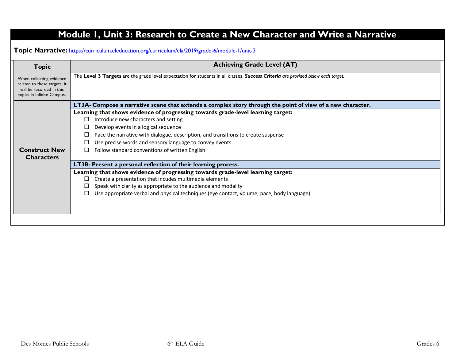**Topic Narrative:** <https://curriculum.eleducation.org/curriculum/ela/2019/grade-6/module-1/unit-3>

| <b>Topic</b>                                                                                                       | <b>Achieving Grade Level (AT)</b>                                                                                                 |
|--------------------------------------------------------------------------------------------------------------------|-----------------------------------------------------------------------------------------------------------------------------------|
| When collecting evidence<br>related to these targets, it<br>will be recorded in this<br>topics in Infinite Campus. | The Level 3 Targets are the grade level expectation for students in all classes. Success Criteria are provided below each target. |
|                                                                                                                    | LT3A- Compose a narrative scene that extends a complex story through the point of view of a new character.                        |
|                                                                                                                    | Learning that shows evidence of progressing towards grade-level learning target:                                                  |
|                                                                                                                    | Introduce new characters and setting<br>$\Box$                                                                                    |
|                                                                                                                    | Develop events in a logical sequence                                                                                              |
|                                                                                                                    | Pace the narrative with dialogue, description, and transitions to create suspense                                                 |
|                                                                                                                    | Use precise words and sensory language to convey events                                                                           |
| <b>Construct New</b>                                                                                               | Follow standard conventions of written English<br>□                                                                               |
| <b>Characters</b>                                                                                                  |                                                                                                                                   |
|                                                                                                                    | LT3B- Present a personal reflection of their learning process.                                                                    |
|                                                                                                                    | Learning that shows evidence of progressing towards grade-level learning target:                                                  |
|                                                                                                                    | Create a presentation that incudes multimedia elements<br>П                                                                       |
|                                                                                                                    | Speak with clarity as appropriate to the audience and modality                                                                    |
|                                                                                                                    | Use appropriate verbal and physical techniques (eye contact, volume, pace, body language)                                         |
|                                                                                                                    |                                                                                                                                   |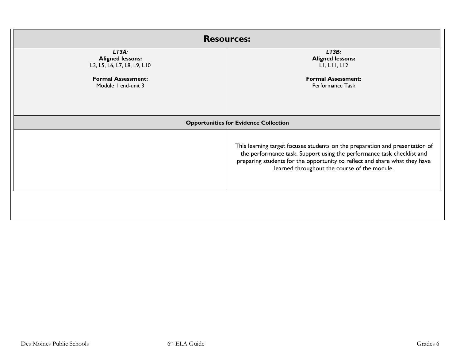|                                                                                                                     | <b>Resources:</b>                                                                                                                                                                                                                                                                    |  |  |
|---------------------------------------------------------------------------------------------------------------------|--------------------------------------------------------------------------------------------------------------------------------------------------------------------------------------------------------------------------------------------------------------------------------------|--|--|
| LT3A:<br><b>Aligned lessons:</b><br>L3, L5, L6, L7, L8, L9, L10<br><b>Formal Assessment:</b><br>Module I end-unit 3 | LT3B:<br><b>Aligned lessons:</b><br>LI, LI, LI2<br><b>Formal Assessment:</b><br>Performance Task                                                                                                                                                                                     |  |  |
|                                                                                                                     | <b>Opportunities for Evidence Collection</b>                                                                                                                                                                                                                                         |  |  |
|                                                                                                                     | This learning target focuses students on the preparation and presentation of<br>the performance task. Support using the performance task checklist and<br>preparing students for the opportunity to reflect and share what they have<br>learned throughout the course of the module. |  |  |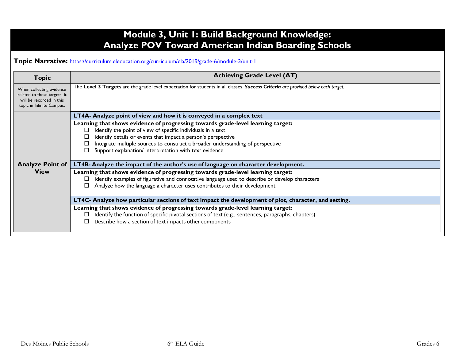## **Module 3, Unit 1: Build Background Knowledge: Analyze POV Toward American Indian Boarding Schools**

#### **Topic Narrative:** <https://curriculum.eleducation.org/curriculum/ela/2019/grade-6/module-3/unit-1>

| <b>Topic</b>                                                                                                      | <b>Achieving Grade Level (AT)</b>                                                                                                 |
|-------------------------------------------------------------------------------------------------------------------|-----------------------------------------------------------------------------------------------------------------------------------|
| When collecting evidence<br>related to these targets, it<br>will be recorded in this<br>topic in Infinite Campus. | The Level 3 Targets are the grade level expectation for students in all classes. Success Criteria are provided below each target. |
|                                                                                                                   | <b>LT4A- Analyze point of view and how it is conveyed in a complex text</b>                                                       |
|                                                                                                                   | Learning that shows evidence of progressing towards grade-level learning target:                                                  |
|                                                                                                                   | Identify the point of view of specific individuals in a text<br>□                                                                 |
|                                                                                                                   | Identify details or events that impact a person's perspective                                                                     |
|                                                                                                                   | Integrate multiple sources to construct a broader understanding of perspective                                                    |
|                                                                                                                   | Support explanation/ interpretation with text evidence                                                                            |
| <b>Analyze Point of</b>                                                                                           | LT4B- Analyze the impact of the author's use of language on character development.                                                |
| <b>View</b>                                                                                                       | Learning that shows evidence of progressing towards grade-level learning target:                                                  |
|                                                                                                                   | Identify examples of figurative and connotative language used to describe or develop characters<br>□                              |
|                                                                                                                   | Analyze how the language a character uses contributes to their development                                                        |
|                                                                                                                   | LT4C- Analyze how particular sections of text impact the development of plot, character, and setting.                             |
|                                                                                                                   | Learning that shows evidence of progressing towards grade-level learning target:                                                  |
|                                                                                                                   | Identify the function of specific pivotal sections of text (e.g., sentences, paragraphs, chapters)<br>□                           |
|                                                                                                                   | Describe how a section of text impacts other components                                                                           |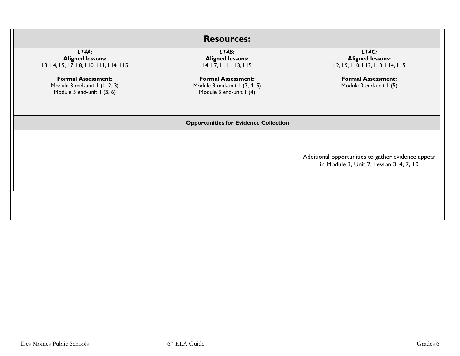|                                                                                          | <b>Resources:</b>                                                                     |                                                                                               |
|------------------------------------------------------------------------------------------|---------------------------------------------------------------------------------------|-----------------------------------------------------------------------------------------------|
| LT4A:<br><b>Aligned lessons:</b><br>L3, L4, L5, L7, L8, L10, L11, L14, L15               | LT4B:<br><b>Aligned lessons:</b><br>L4, L7, L11, L13, L15                             | LT4C:<br><b>Aligned lessons:</b><br>L2, L9, L10, L12, L13, L14, L15                           |
| <b>Formal Assessment:</b><br>Module 3 mid-unit 1 (1, 2, 3)<br>Module 3 end-unit I (3, 6) | <b>Formal Assessment:</b><br>Module 3 mid-unit 1 (3, 4, 5)<br>Module 3 end-unit I (4) | <b>Formal Assessment:</b><br>Module 3 end-unit I (5)                                          |
|                                                                                          | <b>Opportunities for Evidence Collection</b>                                          |                                                                                               |
|                                                                                          |                                                                                       | Additional opportunities to gather evidence appear<br>in Module 3, Unit 2, Lesson 3, 4, 7, 10 |
|                                                                                          |                                                                                       |                                                                                               |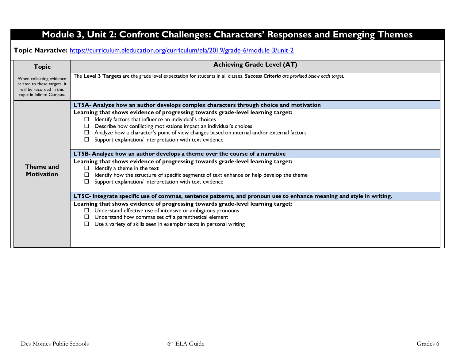# **Module 3, Unit 2: Confront Challenges: Characters' Responses and Emerging Themes**

**Topic Narrative:** <https://curriculum.eleducation.org/curriculum/ela/2019/grade-6/module-3/unit-2>

| <b>Topic</b>                                                                                                      | <b>Achieving Grade Level (AT)</b>                                                                                                                                                                                                                                                                                                                                                   |  |  |  |
|-------------------------------------------------------------------------------------------------------------------|-------------------------------------------------------------------------------------------------------------------------------------------------------------------------------------------------------------------------------------------------------------------------------------------------------------------------------------------------------------------------------------|--|--|--|
| When collecting evidence<br>related to these targets, it<br>will be recorded in this<br>topic in Infinite Campus. | The Level 3 Targets are the grade level expectation for students in all classes. Success Criteria are provided below each target.                                                                                                                                                                                                                                                   |  |  |  |
|                                                                                                                   | LT5A- Analyze how an author develops complex characters through choice and motivation                                                                                                                                                                                                                                                                                               |  |  |  |
|                                                                                                                   | Learning that shows evidence of progressing towards grade-level learning target:<br>Identify factors that influence an individual's choices<br>□<br>Describe how conflicting motivations impact an individual's choices<br>Analyze how a character's point of view changes based on internal and/or external factors<br>□<br>Support explanation/ interpretation with text evidence |  |  |  |
|                                                                                                                   | LT5B- Analyze how an author develops a theme over the course of a narrative                                                                                                                                                                                                                                                                                                         |  |  |  |
| Theme and<br><b>Motivation</b>                                                                                    | Learning that shows evidence of progressing towards grade-level learning target:<br>Identify a theme in the text<br>Identify how the structure of specific segments of text enhance or help develop the theme<br>Support explanation/ interpretation with text evidence                                                                                                             |  |  |  |
|                                                                                                                   | LT5C- Integrate specific use of commas, sentence patterns, and pronoun use to enhance meaning and style in writing.                                                                                                                                                                                                                                                                 |  |  |  |
|                                                                                                                   | Learning that shows evidence of progressing towards grade-level learning target:<br>Understand effective use of intensive or ambiguous pronouns<br>Understand how commas set off a parenthetical element<br>Use a variety of skills seen in exemplar texts in personal writing                                                                                                      |  |  |  |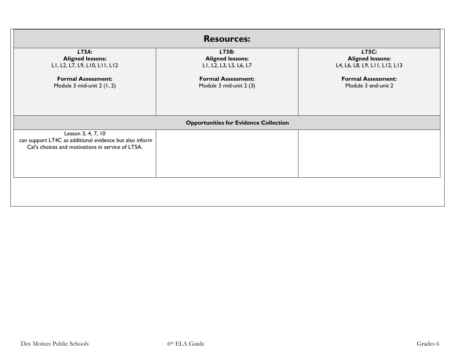| <b>Resources:</b>                                                                                                                  |                                                                                                                    |                                                                                                                       |
|------------------------------------------------------------------------------------------------------------------------------------|--------------------------------------------------------------------------------------------------------------------|-----------------------------------------------------------------------------------------------------------------------|
| LT5A:<br><b>Aligned lessons:</b><br>LI, L2, L7, L9, LI0, LII, LI2<br><b>Formal Assessment:</b><br>Module 3 mid-unit 2 (1, 2)       | LT5B:<br><b>Aligned lessons:</b><br>LI, L2, L3, L5, L6, L7<br><b>Formal Assessment:</b><br>Module 3 mid-unit 2 (3) | LT5C:<br><b>Aligned lessons:</b><br>L4, L6, L8, L9, L11, L12, L13<br><b>Formal Assessment:</b><br>Module 3 end-unit 2 |
| <b>Opportunities for Evidence Collection</b>                                                                                       |                                                                                                                    |                                                                                                                       |
| Lesson 3, 4, 7, 10<br>can support LT4C as additional evidence but also inform<br>Cal's choices and motivations in service of LT5A. |                                                                                                                    |                                                                                                                       |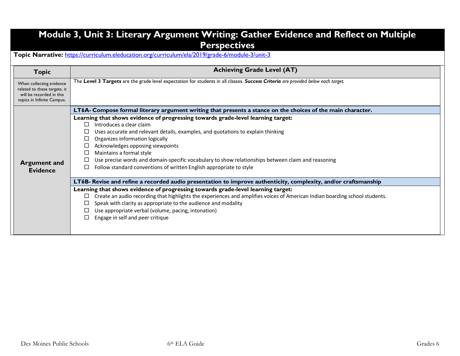## **Module 3, Unit 3: Literary Argument Writing: Gather Evidence and Reflect on Multiple Perspectives**

**Topic Narrative:** <https://curriculum.eleducation.org/curriculum/ela/2019/grade-6/module-3/unit-3>

| <b>Topic</b>                                                                                                       | <b>Achieving Grade Level (AT)</b>                                                                                                 |
|--------------------------------------------------------------------------------------------------------------------|-----------------------------------------------------------------------------------------------------------------------------------|
| When collecting evidence<br>related to these targets, it<br>will be recorded in this<br>topics in Infinite Campus. | The Level 3 Targets are the grade level expectation for students in all classes. Success Criteria are provided below each target. |
|                                                                                                                    | LT6A- Compose formal literary argument writing that presents a stance on the choices of the main character.                       |
|                                                                                                                    | Learning that shows evidence of progressing towards grade-level learning target:                                                  |
|                                                                                                                    | Introduces a clear claim<br>П.                                                                                                    |
|                                                                                                                    | Uses accurate and relevant details, examples, and quotations to explain thinking                                                  |
|                                                                                                                    | Organizes information logically<br>ப                                                                                              |
|                                                                                                                    | Acknowledges opposing viewpoints<br>⊔                                                                                             |
|                                                                                                                    | Maintains a formal style<br>□                                                                                                     |
| <b>Argument and</b>                                                                                                | Use precise words and domain-specific vocabulary to show relationships between claim and reasoning<br>└                           |
| <b>Evidence</b>                                                                                                    | Follow standard conventions of written English appropriate to style<br>$\Box$                                                     |
|                                                                                                                    | LT6B- Revise and refine a recorded audio presentation to improve authenticity, complexity, and/or craftsmanship                   |
|                                                                                                                    | Learning that shows evidence of progressing towards grade-level learning target:                                                  |
|                                                                                                                    | Create an audio recording that highlights the experiences and amplifies voices of American Indian boarding school students.<br>□  |
|                                                                                                                    | Speak with clarity as appropriate to the audience and modality                                                                    |
|                                                                                                                    | Use appropriate verbal (volume, pacing, intonation)                                                                               |
|                                                                                                                    | Engage in self and peer critique                                                                                                  |
|                                                                                                                    |                                                                                                                                   |
|                                                                                                                    |                                                                                                                                   |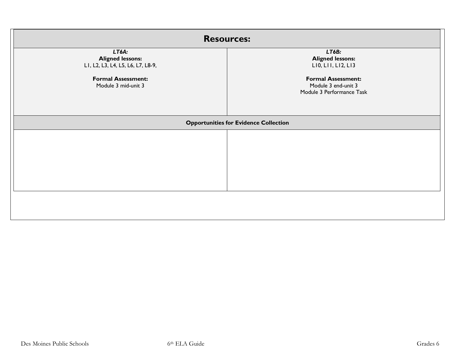| <b>Resources:</b>                                                                                                         |                                                                                                                                         |
|---------------------------------------------------------------------------------------------------------------------------|-----------------------------------------------------------------------------------------------------------------------------------------|
| LT6A:<br><b>Aligned lessons:</b><br>LI, L2, L3, L4, L5, L6, L7, L8-9,<br><b>Formal Assessment:</b><br>Module 3 mid-unit 3 | LT6B:<br><b>Aligned lessons:</b><br>LIO, LII, LI2, LI3<br><b>Formal Assessment:</b><br>Module 3 end-unit 3<br>Module 3 Performance Task |
| <b>Opportunities for Evidence Collection</b>                                                                              |                                                                                                                                         |
|                                                                                                                           |                                                                                                                                         |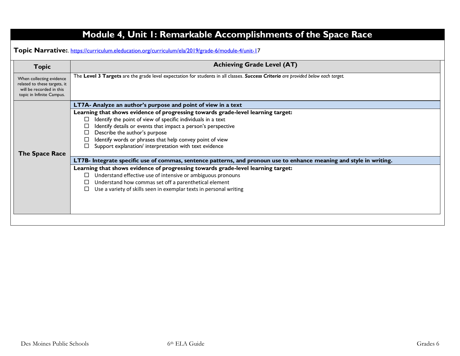| <b>Topic</b>                                                                                                      | <b>Achieving Grade Level (AT)</b>                                                                                                                                                                                                                                                                                                                                                  |  |
|-------------------------------------------------------------------------------------------------------------------|------------------------------------------------------------------------------------------------------------------------------------------------------------------------------------------------------------------------------------------------------------------------------------------------------------------------------------------------------------------------------------|--|
| When collecting evidence<br>related to these targets, it<br>will be recorded in this<br>topic in Infinite Campus. | The Level 3 Targets are the grade level expectation for students in all classes. Success Criteria are provided below each target.                                                                                                                                                                                                                                                  |  |
|                                                                                                                   | LT7A- Analyze an author's purpose and point of view in a text                                                                                                                                                                                                                                                                                                                      |  |
| The Space Race                                                                                                    | Learning that shows evidence of progressing towards grade-level learning target:<br>Identify the point of view of specific individuals in a text<br>$\Box$<br>Identify details or events that impact a person's perspective<br>Describe the author's purpose<br>Identify words or phrases that help convey point of view<br>Support explanation/ interpretation with text evidence |  |
|                                                                                                                   | LT7B- Integrate specific use of commas, sentence patterns, and pronoun use to enhance meaning and style in writing.                                                                                                                                                                                                                                                                |  |
|                                                                                                                   | Learning that shows evidence of progressing towards grade-level learning target:<br>Understand effective use of intensive or ambiguous pronouns<br>Understand how commas set off a parenthetical element<br>Use a variety of skills seen in exemplar texts in personal writing                                                                                                     |  |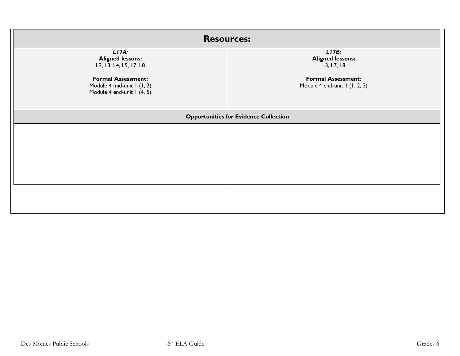| <b>Resources:</b>                                                                                                                                   |                                                                                                              |
|-----------------------------------------------------------------------------------------------------------------------------------------------------|--------------------------------------------------------------------------------------------------------------|
| LT7A:<br><b>Aligned lessons:</b><br>L2, L3, L4, L5, L7, L8<br><b>Formal Assessment:</b><br>Module 4 mid-unit 1 (1, 2)<br>Module 4 end-unit I (4, 5) | LT7B:<br><b>Aligned lessons:</b><br>L3, L7, L8<br><b>Formal Assessment:</b><br>Module 4 end-unit 1 (1, 2, 3) |
| <b>Opportunities for Evidence Collection</b>                                                                                                        |                                                                                                              |
|                                                                                                                                                     |                                                                                                              |
|                                                                                                                                                     |                                                                                                              |
|                                                                                                                                                     |                                                                                                              |
|                                                                                                                                                     |                                                                                                              |
|                                                                                                                                                     |                                                                                                              |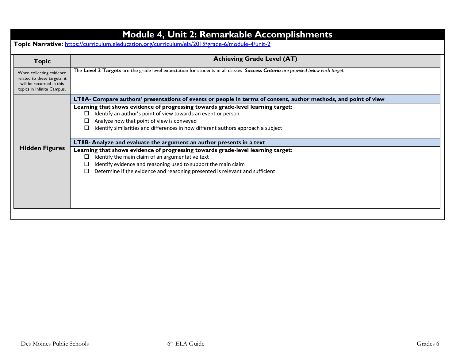|                                                                                                                    | <b>Module 4, Unit 2: Remarkable Accomplishments</b>                                                                                                 |
|--------------------------------------------------------------------------------------------------------------------|-----------------------------------------------------------------------------------------------------------------------------------------------------|
|                                                                                                                    | Topic Narrative: https://curriculum.eleducation.org/curriculum/ela/2019/grade-6/module-4/unit-2                                                     |
| <b>Topic</b>                                                                                                       | <b>Achieving Grade Level (AT)</b>                                                                                                                   |
| When collecting evidence<br>related to these targets, it<br>will be recorded in this<br>topics in Infinite Campus. | The Level 3 Targets are the grade level expectation for students in all classes. Success Criteria are provided below each target.                   |
|                                                                                                                    | LT8A- Compare authors' presentations of events or people in terms of content, author methods, and point of view                                     |
|                                                                                                                    | Learning that shows evidence of progressing towards grade-level learning target:                                                                    |
|                                                                                                                    | Identify an author's point of view towards an event or person<br>□                                                                                  |
|                                                                                                                    | Analyze how that point of view is conveyed                                                                                                          |
|                                                                                                                    | Identify similarities and differences in how different authors approach a subject                                                                   |
|                                                                                                                    | LT8B- Analyze and evaluate the argument an author presents in a text                                                                                |
| <b>Hidden Figures</b>                                                                                              | Learning that shows evidence of progressing towards grade-level learning target:                                                                    |
|                                                                                                                    | Identify the main claim of an argumentative text<br>ப                                                                                               |
|                                                                                                                    | Identify evidence and reasoning used to support the main claim<br>Determine if the evidence and reasoning presented is relevant and sufficient<br>□ |
|                                                                                                                    |                                                                                                                                                     |
|                                                                                                                    |                                                                                                                                                     |
|                                                                                                                    |                                                                                                                                                     |
|                                                                                                                    |                                                                                                                                                     |
|                                                                                                                    |                                                                                                                                                     |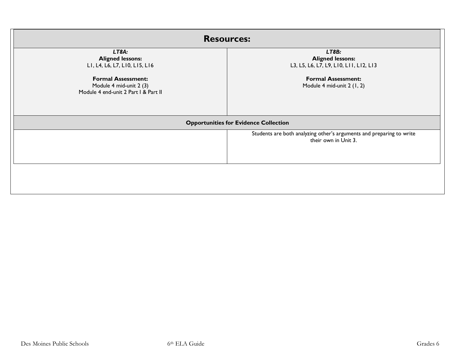| <b>Resources:</b>                                                                            |                                                                                              |
|----------------------------------------------------------------------------------------------|----------------------------------------------------------------------------------------------|
| LT8A:<br><b>Aligned lessons:</b><br>LI, L4, L6, L7, LI0, LI5, LI6                            | LT8B:<br><b>Aligned lessons:</b><br>L3, L5, L6, L7, L9, L10, L11, L12, L13                   |
| <b>Formal Assessment:</b><br>Module 4 mid-unit 2 (3)<br>Module 4 end-unit 2 Part I & Part II | <b>Formal Assessment:</b><br>Module 4 mid-unit 2 (1, 2)                                      |
|                                                                                              | <b>Opportunities for Evidence Collection</b>                                                 |
|                                                                                              | Students are both analyzing other's arguments and preparing to write<br>their own in Unit 3. |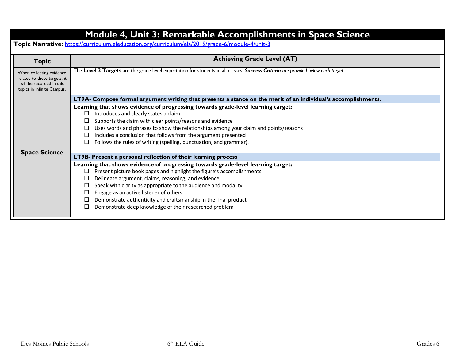|                                                                                                                    | Module 4, Unit 3: Remarkable Accomplishments in Space Science<br>Topic Narrative: https://curriculum.eleducation.org/curriculum/ela/2019/grade-6/module-4/unit-3 |  |
|--------------------------------------------------------------------------------------------------------------------|------------------------------------------------------------------------------------------------------------------------------------------------------------------|--|
| <b>Topic</b>                                                                                                       | <b>Achieving Grade Level (AT)</b>                                                                                                                                |  |
| When collecting evidence<br>related to these targets, it<br>will be recorded in this<br>topics in Infinite Campus. | The Level 3 Targets are the grade level expectation for students in all classes. Success Criteria are provided below each target.                                |  |
|                                                                                                                    | LT9A- Compose formal argument writing that presents a stance on the merit of an individual's accomplishments.                                                    |  |
|                                                                                                                    | Learning that shows evidence of progressing towards grade-level learning target:                                                                                 |  |
|                                                                                                                    | Introduces and clearly states a claim<br>ப                                                                                                                       |  |
|                                                                                                                    | Supports the claim with clear points/reasons and evidence                                                                                                        |  |
|                                                                                                                    | Uses words and phrases to show the relationships among your claim and points/reasons                                                                             |  |
|                                                                                                                    | Includes a conclusion that follows from the argument presented                                                                                                   |  |
|                                                                                                                    | Follows the rules of writing (spelling, punctuation, and grammar).<br>П                                                                                          |  |
| <b>Space Science</b>                                                                                               | LT9B- Present a personal reflection of their learning process                                                                                                    |  |
|                                                                                                                    | Learning that shows evidence of progressing towards grade-level learning target:                                                                                 |  |
|                                                                                                                    | Present picture book pages and highlight the figure's accomplishments<br>□                                                                                       |  |
|                                                                                                                    | Delineate argument, claims, reasoning, and evidence                                                                                                              |  |
|                                                                                                                    | Speak with clarity as appropriate to the audience and modality                                                                                                   |  |
|                                                                                                                    | Engage as an active listener of others                                                                                                                           |  |
|                                                                                                                    | Demonstrate authenticity and craftsmanship in the final product                                                                                                  |  |
|                                                                                                                    | Demonstrate deep knowledge of their researched problem                                                                                                           |  |